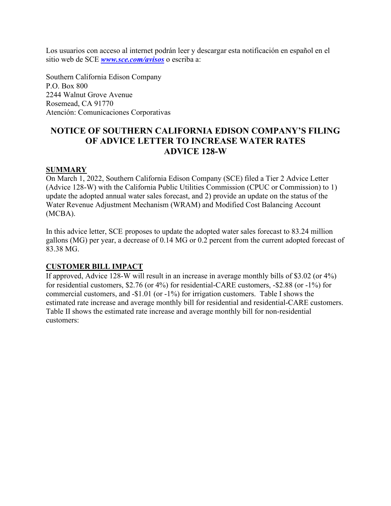Los usuarios con acceso al internet podrán leer y descargar esta notificación en español en el sitio web de SCE *[www.sce.com/avisos](http://www.sce.com/avisos)* o escriba a:

Southern California Edison Company P.O. Box 800 2244 Walnut Grove Avenue Rosemead, CA 91770 Atención: Comunicaciones Corporativas

# **NOTICE OF SOUTHERN CALIFORNIA EDISON COMPANY'S FILING OF ADVICE LETTER TO INCREASE WATER RATES ADVICE 128-W**

### **SUMMARY**

On March 1, 2022, Southern California Edison Company (SCE) filed a Tier 2 Advice Letter (Advice 128-W) with the California Public Utilities Commission (CPUC or Commission) to 1) update the adopted annual water sales forecast, and 2) provide an update on the status of the Water Revenue Adjustment Mechanism (WRAM) and Modified Cost Balancing Account (MCBA).

In this advice letter, SCE proposes to update the adopted water sales forecast to 83.24 million gallons (MG) per year, a decrease of 0.14 MG or 0.2 percent from the current adopted forecast of 83.38 MG.

## **CUSTOMER BILL IMPACT**

If approved, Advice 128-W will result in an increase in average monthly bills of \$3.02 (or 4%) for residential customers, \$2.76 (or 4%) for residential-CARE customers, -\$2.88 (or -1%) for commercial customers, and -\$1.01 (or -1%) for irrigation customers. Table I shows the estimated rate increase and average monthly bill for residential and residential-CARE customers. Table II shows the estimated rate increase and average monthly bill for non-residential customers: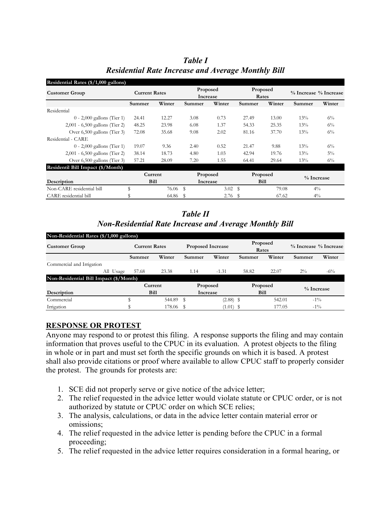| Residential Rates (\$/1,000 gallons) |             |                      |          |                      |          |                   |            |                       |  |
|--------------------------------------|-------------|----------------------|----------|----------------------|----------|-------------------|------------|-----------------------|--|
| <b>Customer Group</b>                |             | <b>Current Rates</b> |          | Proposed<br>Increase |          | Proposed<br>Rates |            | % Increase % Increase |  |
|                                      | Summer      | Winter               | Summer   | Winter               | Summer   | Winter            | Summer     | Winter                |  |
| Residential                          |             |                      |          |                      |          |                   |            |                       |  |
| $0 - 2,000$ gallons (Tier 1)         | 24.41       | 12.27                | 3.08     | 0.73                 | 27.49    | 13.00             | 13%        | $6\%$                 |  |
| $2,001 - 6,500$ gallons (Tier 2)     | 48.25       | 23.98                | 6.08     | 1.37                 | 54.33    | 25.35             | 13%        | $6\%$                 |  |
| Over 6,500 gallons (Tier 3)          | 72.08       | 35.68                | 9.08     | 2.02                 | 81.16    | 37.70             | 13%        | $6\%$                 |  |
| Residential - CARE                   |             |                      |          |                      |          |                   |            |                       |  |
| $0 - 2,000$ gallons (Tier 1)         | 19.07       | 9.36                 | 2.40     | 0.52                 | 21.47    | 9.88              | 13%        | $6\%$                 |  |
| 2,001 - 6,500 gallons (Tier 2)       | 38.14       | 18.73                | 4.80     | 1.03                 | 42.94    | 19.76             | 13%        | $5\%$                 |  |
| Over 6,500 gallons (Tier 3)          | 57.21       | 28.09                | 7.20     | 1.55                 | 64.41    | 29.64             | 13%        | $6\%$                 |  |
| Residentil Bill Impact (\$/Month)    |             |                      |          |                      |          |                   |            |                       |  |
|                                      | Current     |                      | Proposed |                      | Proposed |                   | % Increase |                       |  |
| Description                          | <b>Bill</b> |                      | Increase |                      | Bill     |                   |            |                       |  |
| Non-CARE residential bill            | \$          | 76.06 \$             |          | 3.02 $\sqrt{s}$      |          | 79.08             | $4\%$      |                       |  |
| CARE residential bill                |             | 64.86                | -S       | $2.76$ \$            |          | 67.62             | $4\%$      |                       |  |

*Table I Residential Rate Increase and Average Monthly Bill*

*Table II Non-Residential Rate Increase and Average Monthly Bill*

| Non-Residential Rates (\$/1,000 gallons)               |           |                      |           |                          |             |                   |        |                             |        |
|--------------------------------------------------------|-----------|----------------------|-----------|--------------------------|-------------|-------------------|--------|-----------------------------|--------|
| <b>Customer Group</b>                                  |           | <b>Current Rates</b> |           | <b>Proposed Increase</b> |             | Proposed<br>Rates |        | $\%$ Increase $\%$ Increase |        |
|                                                        |           | Summer               | Winter    | Summer                   | Winter      | Summer            | Winter | Summer                      | Winter |
| Commercial and Irrigation                              |           |                      |           |                          |             |                   |        |                             |        |
|                                                        | All Usage | 57.68                | 23.38     | 1.14                     | $-1.31$     | 58.82             | 22.07  | $2\%$                       | $-6\%$ |
| Non-Residential Bill Impact $(\sqrt[5]{\text{Month}})$ |           |                      |           |                          |             |                   |        |                             |        |
|                                                        |           | Current              |           | Proposed                 |             | Proposed          |        | $\%$ Increase               |        |
| Description                                            |           | <b>Bill</b>          |           | Increase                 |             | Bill              |        |                             |        |
| Commercial                                             |           |                      | 544.89 \$ |                          | $(2.88)$ \$ |                   | 542.01 | $-1\%$                      |        |
| Irrigation                                             |           |                      | 178.06    |                          | $(1.01)$ \$ |                   | 177.05 | $-1\%$                      |        |

## **RESPONSE OR PROTEST**

Anyone may respond to or protest this filing. A response supports the filing and may contain information that proves useful to the CPUC in its evaluation. A protest objects to the filing in whole or in part and must set forth the specific grounds on which it is based. A protest shall also provide citations or proof where available to allow CPUC staff to properly consider the protest. The grounds for protests are:

- 1. SCE did not properly serve or give notice of the advice letter;
- 2. The relief requested in the advice letter would violate statute or CPUC order, or is not authorized by statute or CPUC order on which SCE relies;
- 3. The analysis, calculations, or data in the advice letter contain material error or omissions;
- 4. The relief requested in the advice letter is pending before the CPUC in a formal proceeding;
- 5. The relief requested in the advice letter requires consideration in a formal hearing, or